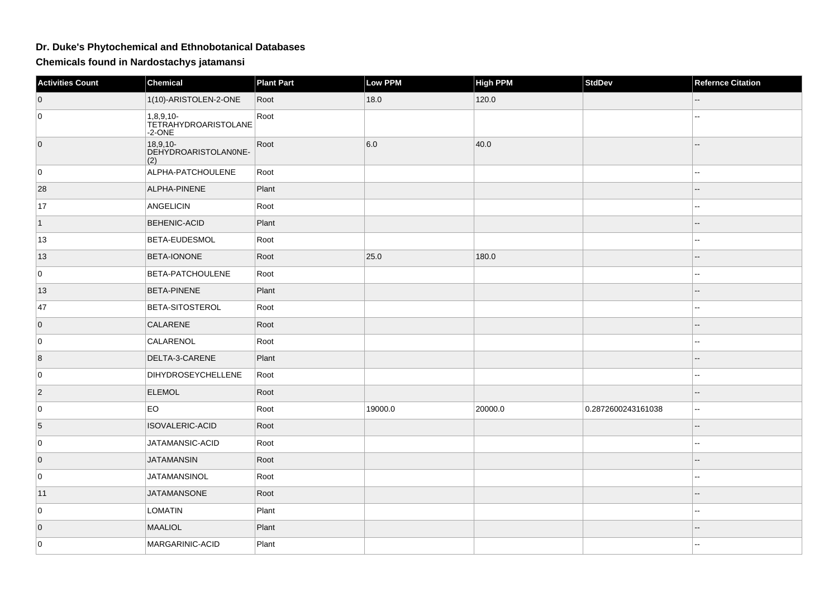## **Dr. Duke's Phytochemical and Ethnobotanical Databases**

**Chemicals found in Nardostachys jatamansi**

| Activities Count | <b>Chemical</b>                                | <b>Plant Part</b> | Low PPM | High PPM | <b>StdDev</b>      | <b>Refernce Citation</b> |
|------------------|------------------------------------------------|-------------------|---------|----------|--------------------|--------------------------|
| $\overline{0}$   | 1(10)-ARISTOLEN-2-ONE                          | Root              | 18.0    | 120.0    |                    |                          |
| $\overline{0}$   | 1,8,9,10-<br>TETRAHYDROARISTOLANE<br>$-2$ -ONE | Root              |         |          |                    |                          |
| $\overline{0}$   | $18,9,10-$<br>DEHYDROARISTOLANONE-<br>(2)      | Root              | 6.0     | 40.0     |                    | --                       |
| $\overline{0}$   | ALPHA-PATCHOULENE                              | Root              |         |          |                    |                          |
| 28               | ALPHA-PINENE                                   | Plant             |         |          |                    |                          |
| 17               | <b>ANGELICIN</b>                               | Root              |         |          |                    | ۵.                       |
| $\vert$ 1        | <b>BEHENIC-ACID</b>                            | Plant             |         |          |                    |                          |
| 13               | BETA-EUDESMOL                                  | Root              |         |          |                    | ۵.                       |
| 13               | <b>BETA-IONONE</b>                             | Root              | 25.0    | 180.0    |                    | --                       |
| $\overline{0}$   | BETA-PATCHOULENE                               | Root              |         |          |                    |                          |
| 13               | <b>BETA-PINENE</b>                             | Plant             |         |          |                    |                          |
| 47               | BETA-SITOSTEROL                                | Root              |         |          |                    | ۵۵                       |
| $\overline{0}$   | <b>CALARENE</b>                                | Root              |         |          |                    |                          |
| $\overline{0}$   | CALARENOL                                      | Root              |         |          |                    | --                       |
| 8                | DELTA-3-CARENE                                 | Plant             |         |          |                    |                          |
| $\overline{0}$   | <b>DIHYDROSEYCHELLENE</b>                      | Root              |         |          |                    | --                       |
| $\overline{2}$   | <b>ELEMOL</b>                                  | Root              |         |          |                    |                          |
| $\overline{0}$   | EO                                             | Root              | 19000.0 | 20000.0  | 0.2872600243161038 | --                       |
| 5                | ISOVALERIC-ACID                                | Root              |         |          |                    |                          |
| $\overline{0}$   | JATAMANSIC-ACID                                | Root              |         |          |                    |                          |
| $\overline{0}$   | <b>JATAMANSIN</b>                              | Root              |         |          |                    |                          |
| $\overline{0}$   | <b>JATAMANSINOL</b>                            | Root              |         |          |                    | ۵.                       |
| 11               | <b>JATAMANSONE</b>                             | Root              |         |          |                    |                          |
| $\overline{0}$   | <b>LOMATIN</b>                                 | Plant             |         |          |                    | ۵.                       |
| $\overline{0}$   | <b>MAALIOL</b>                                 | Plant             |         |          |                    |                          |
| $\overline{0}$   | MARGARINIC-ACID                                | Plant             |         |          |                    |                          |